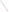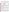| ٠ |  |
|---|--|
|   |  |

**UNITED STATES ENVIRONMENTAL PROTECTION AGENCY** Office of Research and Development Washington, D.C. 20460

# **ENVIRONMENTAL TECHNOLOGY VERIFICATION PROGRAM VERIFICATION STATEMENT**

| TECHNOLOGY TYPE:            | POLYCHLORINATED BIPHENYL (PCB) FIELD ANALYTICAL<br><b>TECHNIQUES</b>          |
|-----------------------------|-------------------------------------------------------------------------------|
| APPLICATION:                | <b>MEASUREMENT OF PCBs IN SOILS AND SOLVENT EXTRACTS</b>                      |
| TECHNOLOGY NAME:            | <b>L2000 PCB/CHLORIDE ANALYZER</b>                                            |
| COMPANY:<br><b>ADDRESS:</b> | <b>DEXSIL CORPORATION</b><br><b>ONE HAMDEN PARK DRIVE</b><br>HAMDEN, CT 06517 |
| PHONE:                      | $(203)$ 288-3509                                                              |

The U.S. Environmental Protection Agency (EPA) has created a program to facilitate the deployment of innovative technologies through performance verification and information dissemination. The goal of the Environmental Technology Verification (ETV) Program is to further environmental protection by substantially accelerating the acceptance and use of improved and more cost effective technologies. The ETV Program is intended to assist and inform those involved in the design, distribution, permitting, and purchase of environmental technologies. This document summarizes the results of a demonstration of the Dexsil L2000 PCB/Chloride Analyzer.

#### **PROGRAM OPERATION**

EPA, in partnership with recognized testing organizations, objectively and systematically evaluates the performance of innovative technologies. Together, with the full participation of the technology developer, they develop plans, conduct tests, collect and analyze data, and report findings. The evaluations are conducted according to a rigorous demonstration plan and established protocols for quality assurance. EPA's National Exposure Research Laboratory, which conducts demonstrations of field characterization and monitoring technologies, with the support of the U.S. Department of Energy's (DOE's) Environmental Management (EM) program, selected Oak Ridge National Laboratory as the testing organization for the performance verification of polychlorinated biphenyl (PCB) field analytical techniques.

### **DEMONSTRATION DESCRIPTION**

In July 1997, the performance of six PCB field analytical techniques was determined under field conditions. Each technology was independently evaluated by comparing field analysis results to those obtained using approved reference methods. Performance evaluation (PE) samples were also used to assess independently the accuracy and comparability of each technology.

The demonstration was designed to detect and measure PCBs in soil and solvent extracts. The demonstration was conducted at the Oak Ridge National Laboratory (ORNL) in Oak Ridge, Tennessee, from July 22 through July 29, 1997. The study was conducted under two environmental conditions. The first site was outdoors, with naturally fluctuating temperatures and relative humidity conditions. The second site was inside a controlled environmental chamber, with generally cooler temperatures and lower relative humidities. Multiple soil types, collected from sites in Ohio, Kentucky, and Tennessee, were analyzed in this study. Solutions of PCBs were also analyzed to simulate extracted surface wipe

ETV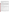samples. The results of the soil and extract analyses conducted under field conditions by the technology were compared with results from analyses of homogeneous replicate samples conducted by conventional EPA SW-846 methodology in an approved reference laboratory. Details of the demonstration, including a data summary and discussion of results, may be found in the report entitled *Environmental Technology Verification Report: Electrochemical Technique/Ion Specific Electrode, Dexsil Corporation, L2000 PCB/Chloride Analyzer,* EPA/600/R-98/109.

# **TECHNOLOGY DESCRIPTION**

The L2000 PCB/Chloride Analyzer (dimensions:  $8'' \times 8'' \times 4.5''$ ) is a field-portable instrument, weighing approximately 3.5 lb, designed to quantify PCB concentration in soils, dielectric fluids, and surface wipes. Sample preparation consists of extraction and dehalogenation of the PCB. A 10-g sample of soil is weighed into a polyethylene test tube. The soil is extracted with a nonchlorinated solvent from a premeasured ampule. (Note that a newly developed hydrocarbon solvent system was used for the demonstration analyses.) The soil is allowed to settle, and the supernatant is decanted onto a Florisil column. The solution is passed through the column, where all of the water and inorganic chloride is removed. Five milliliters of the solution are collected in a polyethylene reaction tube. Two glass ampules contained in the reaction tube are broken, introducing metallic sodium to the extract solution. The sodium strips the covalently bound chlorine atoms off the PCB molecule. The mixture is then shaken for 10 s and allowed to react for a total of 1 min. An aqueous extraction solution is added to the reaction tube to adjust the pH, destroy the excess sodium, and extract and isolate the newly formed chloride ions in an aqueous buffered solution. The aqueous layer is decanted, filtered, and collected in an analysis vial. A chloride-ion-specific electrode is put into this aqueous solution to measure the millivolt potential of the chloride solution. The potential is then converted to a PCB concentration in terms of parts per million (ppm).

### **VERIFICATION OF PERFORMANCE**

The following performance characteristics of the L2000 PCB/Chloride Analyzer were observed:

*Detection limits:* EPA defines the method detection limit (MDL) as the minimum concentration of a substance that can be measured and reported with 99% confidence that the analyte concentration is greater than zero. The MDL was calculated to be 7.1 ppm based on the performance evaluation sample analyses. By use of a line fitted to a plot of the L2000-measured PCB concentrations versus the certified PE values, bias in the L2000 data can be corrected. After compensation for bias, the resulting L2000 MDL agrees with Dexsil's specified MDL of 2 ppm.

*Throughput:* Throughput was 5 samples/hour under the outdoor conditions and 10 samples/hour under the chamber conditions. This rate included sample preparation and analysis.

*Ease of Use:* Two operators analyzed samples during the demonstration, but the technology can be run by a single trained operator. Minimal training (<1 hour) is required to operate the L2000, provided the user has a fundamental understanding of basic chemical techniques.

*Completeness:* The L2000 generated results for all 232 PCB samples for a completeness of 100%.

*Blank results:* PCBs were detected above the L2000's MDL for four of the eight blank samples. Therefore, the percentage of false positive results was 50%. These results were obtained for both soil and extract samples. The L2000 reported no false negative results.

*Precision:* The overall precision, based on average relative standard deviations (RSDs), was 23% for soil samples and 14% for extract samples. The L2000's precision was comparable to that of the reference laboratory (21% RSD for soils and 14% RSD for extracts). At higher concentrations (>125 ppm), the L2000 was more precise than the reference laboratory (4% versus 19% RSD).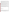*Accuracy:* Accuracy was assessed using PE soil and extract samples. The data showed that the L2000 exhibited a significantly high bias. The overall accuracy, based on average percent recoveries, was 208% for PE soil samples and 149% for extract samples. Evaluation of the data generated at each site indicated that there were no significant differences between the two data sets based on environmental conditions.

*Comparability:* This demonstration showed that the L2000 generated data that exhibited a linear correlation to the reference laboratory data. The coefficient of determination  $(R^2)$ , which is a measure of the degree of correlation between the reference laboratory and the L2000 data, was 0.854 when all soil samples (0 to 700 ppm) were considered. For the concentration range from 0 to 125 ppm, the  $R^2$  value was 0.781. Most of the percent difference values were greater than 100% when the L2000 results were compared directly with the reference laboratory results.

*Regulatory decision-making:* One objective of this demonstration was to assess the technology's ability to perform at regulatory decision-making levels for PCBs, specifically 50 ppm for soils and  $100 \mu g/100 \text{cm}^2$  for surface wipes. For PE and environmental soil samples in the range of 40 to 60 ppm, the precision was high (12% RSD), but the measured concentrations were biased high (147% recovery). For extract samples representing surface wipe sample concentrations of 100  $\mu$ g/100cm<sup>2</sup> and 1000  $\mu$ g/100cm<sup>2</sup> (assuming a 1000 cm<sup>2</sup> wipe sample), measurements were precise (14% RSD), but indicated a high bias (149% recovery), especially for the lower concentrations.

*Data quality levels:* Because the PCB data generated in this demonstration strongly correlated with the reference laboratory results, it may be possible for Dexsil's L2000 PCB/Chloride Analyzer to be used quantitatively, but the high bias must be considered. The overall performance was characterized as consistently biased but precise.

The results of the demonstration show that the Dexsil L2000 PCB/Chloride Analyzer can provide useful, cost-effective data for environmental problem-solving and decision-making. Undoubtedly, it will be employed in a variety of applications, ranging from serving as a complement to data generated in a fixed analytical laboratory to generating data that will stand alone in the decision-making process. As with any technology selection, the user must determine if this technology is appropriate for the application and the project data quality objectives. For more information on this and other verified technologies, visit the ETV web site at *http://www.epa.gov/etv*.

Gary J. Foley, Ph.D. **Director** National Exposure Research Laboratory Office of Research and Development

**NOTICE**: EPA verifications are based on an evaluation of technology performance under specific, predetermined criteria and the appropriate quality assurance procedures. EPA makes no expressed or implied warranties as to the performance of the technology and does not certify that a technology will always, under circumstances other than those tested, operate at the levels verified. The end user is solely responsible for complying with any and all applicable Federal, State, and Local requirements.